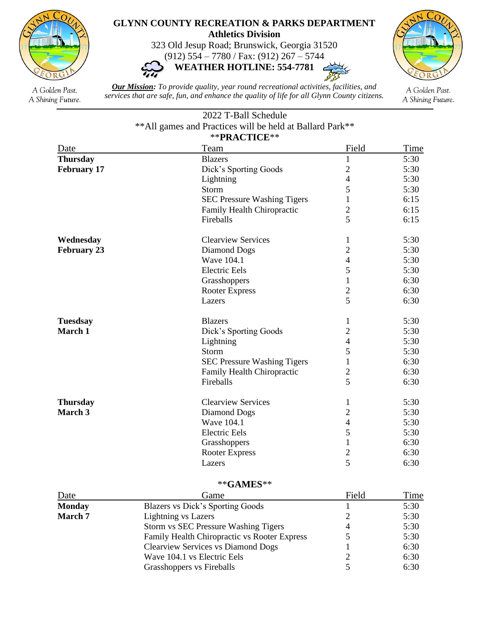

## **GLYNN COUNTY RECREATION & PARKS DEPARTMENT Athletics Division**

323 Old Jesup Road; Brunswick, Georgia 31520

(912) 554 – 7780 / Fax: (912) 267 – 5744 **WEATHER HOTLINE: 554-7781**



A Golden Past. A Shining Future.

*Our Mission: To provide quality, year round recreational activities, facilities, and services that are safe, fun, and enhance the quality of life for all Glynn County citizens.*

 $\sim$ 

A Golden Past. A Shining Future.

## 2022 T-Ball Schedule \*\*All games and Practices will be held at Ballard Park\*\* \*\***PRACTICE**\*\*

| TIMULLU            |                                    |                |      |  |  |
|--------------------|------------------------------------|----------------|------|--|--|
| Date               | Team                               | Field          | Time |  |  |
| <b>Thursday</b>    | <b>Blazers</b>                     | $\mathbf{1}$   | 5:30 |  |  |
| <b>February 17</b> | Dick's Sporting Goods              | $\overline{2}$ | 5:30 |  |  |
|                    | Lightning                          | $\overline{4}$ | 5:30 |  |  |
|                    | <b>Storm</b>                       | 5              | 5:30 |  |  |
|                    | <b>SEC Pressure Washing Tigers</b> | $\mathbf{1}$   | 6:15 |  |  |
|                    | Family Health Chiropractic         | $\overline{2}$ | 6:15 |  |  |
|                    | Fireballs                          | 5              | 6:15 |  |  |
| Wednesday          | <b>Clearview Services</b>          | 1              | 5:30 |  |  |
| <b>February 23</b> | Diamond Dogs                       | $\overline{2}$ | 5:30 |  |  |
|                    | Wave 104.1                         | $\overline{4}$ | 5:30 |  |  |
|                    | <b>Electric Eels</b>               | 5              | 5:30 |  |  |
|                    | Grasshoppers                       | $\mathbf{1}$   | 6:30 |  |  |
|                    | <b>Rooter Express</b>              | $\mathbf{2}$   | 6:30 |  |  |
|                    | Lazers                             | $\overline{5}$ | 6:30 |  |  |
| <b>Tuesdsay</b>    | <b>Blazers</b>                     | 1              | 5:30 |  |  |
| March 1            | Dick's Sporting Goods              | $\mathbf{2}$   | 5:30 |  |  |
|                    | Lightning                          | $\overline{4}$ | 5:30 |  |  |
|                    | Storm                              | 5              | 5:30 |  |  |
|                    | <b>SEC Pressure Washing Tigers</b> | 1              | 6:30 |  |  |
|                    | Family Health Chiropractic         | $\overline{2}$ | 6:30 |  |  |
|                    | Fireballs                          | $\overline{5}$ | 6:30 |  |  |
| <b>Thursday</b>    | <b>Clearview Services</b>          | 1              | 5:30 |  |  |
| March 3            | Diamond Dogs                       | $\overline{c}$ | 5:30 |  |  |
|                    | Wave 104.1                         | $\overline{4}$ | 5:30 |  |  |
|                    | <b>Electric Eels</b>               | 5              | 5:30 |  |  |
|                    | Grasshoppers                       | $\mathbf{1}$   | 6:30 |  |  |
|                    | <b>Rooter Express</b>              | $\overline{c}$ | 6:30 |  |  |
|                    | Lazers                             | 5              | 6:30 |  |  |
|                    |                                    |                |      |  |  |

## \*\***GAMES**\*\*

| Date           | Game                                         | Field | Time |
|----------------|----------------------------------------------|-------|------|
| <b>Monday</b>  | Blazers vs Dick's Sporting Goods             |       | 5:30 |
| <b>March 7</b> | <b>Lightning vs Lazers</b>                   |       | 5:30 |
|                | Storm vs SEC Pressure Washing Tigers         |       | 5:30 |
|                | Family Health Chiropractic vs Rooter Express |       | 5:30 |
|                | <b>Clearview Services vs Diamond Dogs</b>    |       | 6:30 |
|                | Wave 104.1 vs Electric Eels                  |       | 6:30 |
|                | Grasshoppers vs Fireballs                    |       | 6:30 |
|                |                                              |       |      |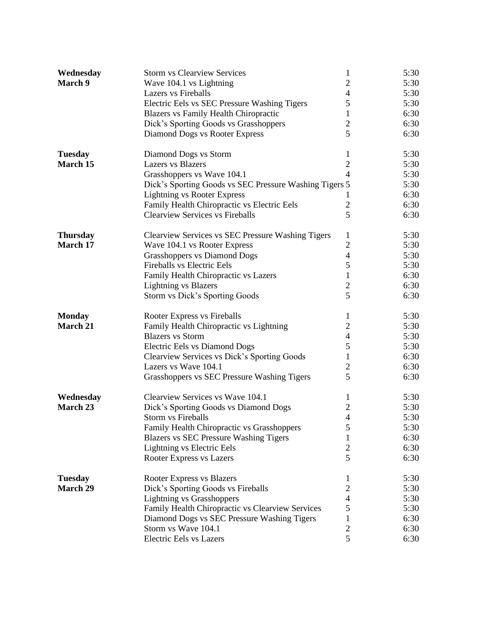| Wednesday       | <b>Storm vs Clearview Services</b>                     | 1                        | 5:30 |
|-----------------|--------------------------------------------------------|--------------------------|------|
| March 9         | Wave 104.1 vs Lightning                                | $\overline{2}$           | 5:30 |
|                 | <b>Lazers vs Fireballs</b>                             | $\overline{4}$           | 5:30 |
|                 | Electric Eels vs SEC Pressure Washing Tigers           | 5                        | 5:30 |
|                 | <b>Blazers vs Family Health Chiropractic</b>           | $\mathbf{1}$             | 6:30 |
|                 | Dick's Sporting Goods vs Grasshoppers                  | $\overline{c}$           | 6:30 |
|                 | Diamond Dogs vs Rooter Express                         | 5                        | 6:30 |
| <b>Tuesday</b>  | Diamond Dogs vs Storm                                  | 1                        | 5:30 |
| March 15        | <b>Lazers</b> vs Blazers                               | $\overline{2}$           | 5:30 |
|                 | Grasshoppers vs Wave 104.1                             | $\overline{4}$           | 5:30 |
|                 | Dick's Sporting Goods vs SEC Pressure Washing Tigers 5 |                          | 5:30 |
|                 | <b>Lightning vs Rooter Express</b>                     | 1                        | 6:30 |
|                 | Family Health Chiropractic vs Electric Eels            | $\mathfrak{2}$           | 6:30 |
|                 | <b>Clearview Services vs Fireballs</b>                 | 5                        | 6:30 |
| <b>Thursday</b> | Clearview Services vs SEC Pressure Washing Tigers      | 1                        | 5:30 |
| March 17        | Wave 104.1 vs Rooter Express                           | $\overline{2}$           | 5:30 |
|                 | <b>Grasshoppers vs Diamond Dogs</b>                    | $\overline{\mathcal{L}}$ | 5:30 |
|                 | <b>Fireballs vs Electric Eels</b>                      | 5                        | 5:30 |
|                 | Family Health Chiropractic vs Lazers                   | $\mathbf 1$              | 6:30 |
|                 | <b>Lightning vs Blazers</b>                            | $\overline{c}$           | 6:30 |
|                 | Storm vs Dick's Sporting Goods                         | 5                        | 6:30 |
| <b>Monday</b>   | Rooter Express vs Fireballs                            | 1                        | 5:30 |
| <b>March 21</b> | Family Health Chiropractic vs Lightning                | $\mathfrak{2}$           | 5:30 |
|                 | <b>Blazers</b> vs Storm                                | $\overline{4}$           | 5:30 |
|                 | Electric Eels vs Diamond Dogs                          | 5                        | 5:30 |
|                 | Clearview Services vs Dick's Sporting Goods            | $\mathbf{1}$             | 6:30 |
|                 | Lazers vs Wave 104.1                                   | $\overline{2}$           | 6:30 |
|                 | Grasshoppers vs SEC Pressure Washing Tigers            | 5                        | 6:30 |
| Wednesday       | Clearview Services vs Wave 104.1                       | $\mathbf{1}$             | 5:30 |
| March 23        | Dick's Sporting Goods vs Diamond Dogs                  | $\mathbf{2}$             | 5:30 |
|                 | <b>Storm vs Fireballs</b>                              | $\overline{4}$           | 5:30 |
|                 | Family Health Chiropractic vs Grasshoppers             | $\mathcal{L}$            | 5:30 |
|                 | <b>Blazers vs SEC Pressure Washing Tigers</b>          | 1                        | 6:30 |
|                 | Lightning vs Electric Eels                             | $\mathbf{2}$             | 6:30 |
|                 | Rooter Express vs Lazers                               | 5                        | 6:30 |
| <b>Tuesday</b>  | Rooter Express vs Blazers                              | 1                        | 5:30 |
| <b>March 29</b> | Dick's Sporting Goods vs Fireballs                     | $\mathbf{2}$             | 5:30 |
|                 | <b>Lightning vs Grasshoppers</b>                       | $\overline{4}$           | 5:30 |
|                 | Family Health Chiropractic vs Clearview Services       | 5                        | 5:30 |
|                 | Diamond Dogs vs SEC Pressure Washing Tigers            | 1                        | 6:30 |
|                 | Storm vs Wave 104.1                                    | $\overline{2}$           | 6:30 |
|                 | Electric Eels vs Lazers                                | 5                        | 6:30 |